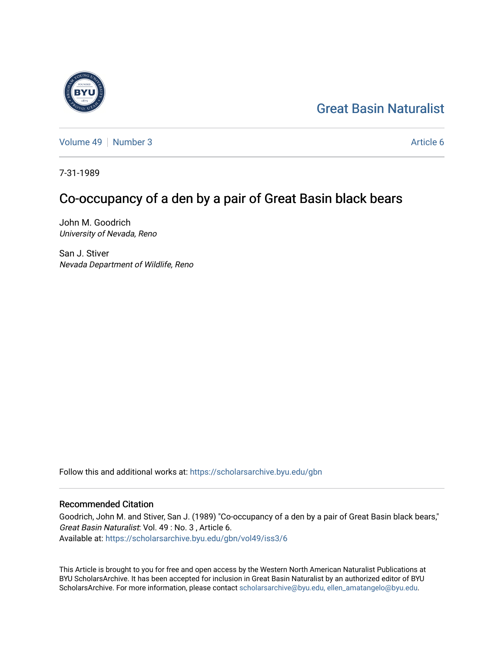# [Great Basin Naturalist](https://scholarsarchive.byu.edu/gbn)

[Volume 49](https://scholarsarchive.byu.edu/gbn/vol49) [Number 3](https://scholarsarchive.byu.edu/gbn/vol49/iss3) Article 6

7-31-1989

## Co-occupancy of a den by a pair of Great Basin black bears

John M. Goodrich University of Nevada, Reno

San J. Stiver Nevada Department of Wildlife, Reno

Follow this and additional works at: [https://scholarsarchive.byu.edu/gbn](https://scholarsarchive.byu.edu/gbn?utm_source=scholarsarchive.byu.edu%2Fgbn%2Fvol49%2Fiss3%2F6&utm_medium=PDF&utm_campaign=PDFCoverPages) 

### Recommended Citation

Goodrich, John M. and Stiver, San J. (1989) "Co-occupancy of a den by a pair of Great Basin black bears," Great Basin Naturalist: Vol. 49 : No. 3 , Article 6. Available at: [https://scholarsarchive.byu.edu/gbn/vol49/iss3/6](https://scholarsarchive.byu.edu/gbn/vol49/iss3/6?utm_source=scholarsarchive.byu.edu%2Fgbn%2Fvol49%2Fiss3%2F6&utm_medium=PDF&utm_campaign=PDFCoverPages)

This Article is brought to you for free and open access by the Western North American Naturalist Publications at BYU ScholarsArchive. It has been accepted for inclusion in Great Basin Naturalist by an authorized editor of BYU ScholarsArchive. For more information, please contact [scholarsarchive@byu.edu, ellen\\_amatangelo@byu.edu.](mailto:scholarsarchive@byu.edu,%20ellen_amatangelo@byu.edu)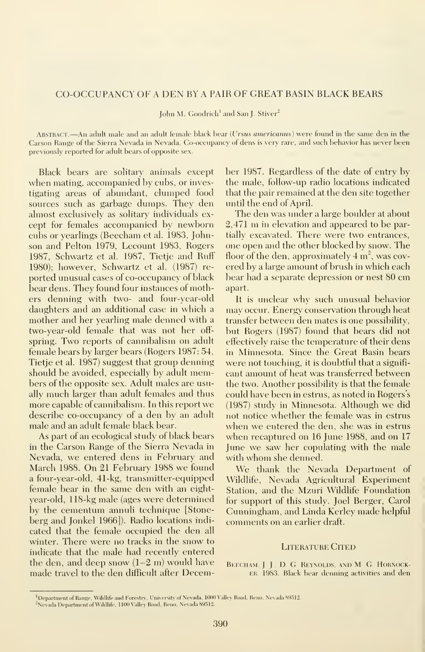### CO-OCCUPANCY OF A DEN BY A PAIR OF GREAT BASIN BLACK BEARS

John M. Goodrich<sup>1</sup> and San J. Stiver<sup>2</sup>

ABSTRACT.—An adult male and an adult female black bear (*Ursus americanus*) were found in the same den in the Carson Range of the Sierra Nevada in Nevada. Co-occupancy of dens isvery rare, and such behavior has never been previously reported for adult bears of opposite sex.

Black bears are solitary animals except when mating, accompanied by cubs, or investigating areas of abundant, clumped food sources such as garbage dumps. They den almost exclusively as solitary individuals ex cept for females accompanied by newborn cubs or yearlings (Beecham et al. 1983, Johnson and Pelton 1979, Lecount 1983, Rogers 1987, Schwartz et al. 1987, Tietje and Ruff 1980); however, Schwartz et al. (1987) re ported unusual cases of co-occupancy of black bear dens. They found four instances of mothers denning with two- and four-year-old daughters and an additional case in which a mother and her yearling male denned with a two-year-old female that was not her off spring. Two reports of cannibalism on adult female bears by larger bears (Rogers 1987: 54, Tietie et al. 1987) suggest that group denning should be avoided, especially by adult members of the opposite sex. Adult males are usually much larger than adult females and thus more capable of cannibalism. In this report we describe co-occupancy of a den by an adult male and an adult female black bear.

As part of an ecological study of black bears in the Carson Range of the Sierra Nevada in Nevada, we entered dens in February and March 1988. On 21 February 1988 we found a four-year-old, 41-kg, transmitter-equipped female bear in the same den with an eightyear-old, 118-kg male (ages were determined by the cementum annuli technique [Stoneberg and Jonkel 1966]). Radio locations indi cated that the female occupied the den all winter. There were no tracks in the snow to indicate that the male had recently entered the den, and deep snow  $(1-2 \text{ m})$  would have made travel to the den difficult after December 1987. Regardless of the date of entry by the male, follow-up radio locations indicated that the pair remained at the den site together until the end of April.

The den was under a large boulder at about 2,471 m in elevation and appeared to be partially excavated. There were two entrances, one open and the other blocked by snow. The floor of the den, approximately  $4 \text{ m}^2$ , was covered by a large amount of brush in which each bear had <sup>a</sup> separate depression or nest 80 cm apart.

It is unclear why such unusual behavior may occur. Energy conservation through heat transfer between den mates is one possibility, but Rogers (1987) found that bears did not effectively raise the temperature of their dens in Minnesota. Since the Great Basin bears were not touching, it is doubtful that a signifi cant amount of heat was transferred between the two. Another possibility is that the female could have been in estrus, as noted in Rogers's (1987) study in Minnesota. Although we did not notice whether the female was in estrus when we entered the den, she was in estrus when recaptured on 16 June 1988, and on 17 June we saw her copulating with the male with whom she denned.

We thank the Nevada Department of Wildlife, Nevada Agricultural Experiment Station, and the Mzuri Wildlife Foundation for support of this study. Joel Berger, Carol Cunningham, and Linda Kerley made helpful comments on an earlier draft.

#### LITERATURE CITED

BEECHAM. J J. D. G. REYNOLDS, AND M. G. HORNOCK-ER. 1983. Rlack bear denning activities and den

<sup>&</sup>lt;sup>1</sup>Department of Range, Wildlife and Forestry, University of Nevada, 1000 Valley Road, Reno, Nevada 89512. <sup>2</sup>Nevada Department of Wildlife, 1100 Valley Road, Reno, Nevada 89512.